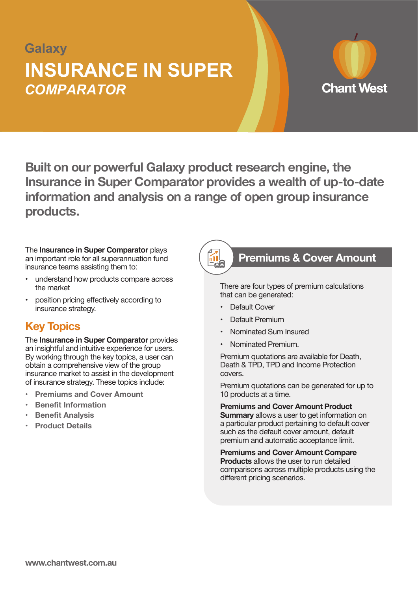# **Galaxy** *COMPARATOR* **INSURANCE IN SUPER**



**Built on our powerful Galaxy product research engine, the Insurance in Super Comparator provides a wealth of up-to-date information and analysis on a range of open group insurance products.**

The **Insurance in Super Comparator** plays an important role for all superannuation fund insurance teams assisting them to:

- • understand how products compare across the market
- position pricing effectively according to insurance strategy.

# **Key Topics**

The **Insurance in Super Comparator** provides an insightful and intuitive experience for users. By working through the key topics, a user can obtain a comprehensive view of the group insurance market to assist in the development of insurance strategy. These topics include:

- **Premiums and Cover Amount**
- **Benefit Information**
- **Benefit Analysis**
- **Product Details**



### **Premiums & Cover Amount**

There are four types of premium calculations that can be generated:

- Default Cover
- Default Premium
- Nominated Sum Insured
- Nominated Premium

Premium quotations are available for Death, Death & TPD, TPD and Income Protection covers.

Premium quotations can be generated for up to 10 products at a time.

**Premiums and Cover Amount Product Summary** allows a user to get information on a particular product pertaining to default cover such as the default cover amount, default premium and automatic acceptance limit.

**Premiums and Cover Amount Compare Products** allows the user to run detailed comparisons across multiple products using the different pricing scenarios.